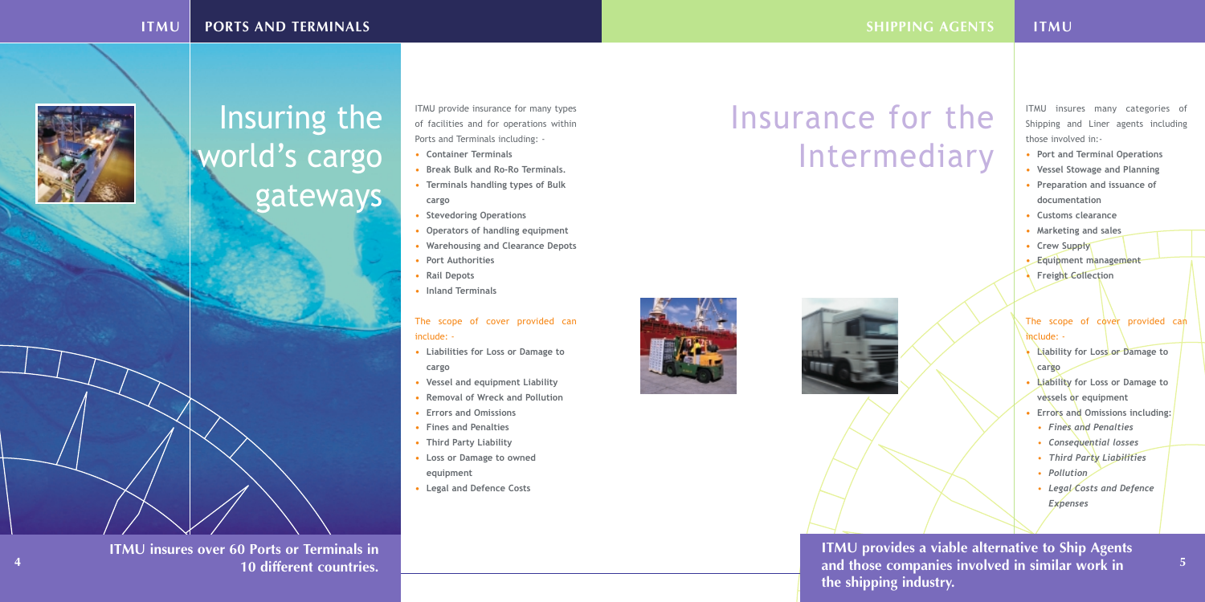ITMU provide insurance for many types of facilities and for operations within Ports and Terminals including: -

- **• Container Terminals**
- **• Break Bulk and Ro-Ro Terminals.**
- **• Terminals handling types of Bulk cargo**
- **• Stevedoring Operations**
- **• Operators of handling equipment**
- **• Warehousing and Clearance Depots**
- **• Port Authorities**
- **• Rail Depots**
- **• Inland Terminals**

#### The scope of cover provided can include: -

- **• Liabilities for Loss or Damage to cargo**
- **• Vessel and equipment Liability**
- **• Removal of Wreck and Pollution**
- **• Errors and Omissions**
- **• Fines and Penalties**
- **• Third Party Liability**
- **• Loss or Damage to owned equipment**
- **• Legal and Defence Costs**

#### The scope of cover provided can include: -

#### **ITMU PORTS AND TERMINALS**



## Insuring the world's cargo gateways

**SHIPPING AGENTS** 

ITMU insures many categories of Shipping and Liner agents including those involved in:-

- **• Port and Terminal Operations**
- **• Vessel Stowage and Planning**
- **• Preparation and issuance of documentation**
- **• Customs clearance**
- **• Marketing and sales**
- **• Crew Supply**
- **• Equipment management**
- **• Freight Collection**

- **• Liability for Loss or Damage to cargo**
- **• Liability for Loss or Damage to vessels or equipment**
- **• Errors and Omissions including:**
- *• Fines and Penalties*
- *• Consequential losses*
- *• Third Party Liabilities*
- *• Pollution*
- *• Legal Costs and Defence Expenses*

#### **ITMU**

## Insurance for the Intermediary





**ITMU provides a viable alternative to Ship Agents**

**and those companies involved in similar work in 10 different countries. <sup>4</sup> <sup>5</sup>ITMU insures over 60 Ports or Terminals in** 

# **the shipping industry.**